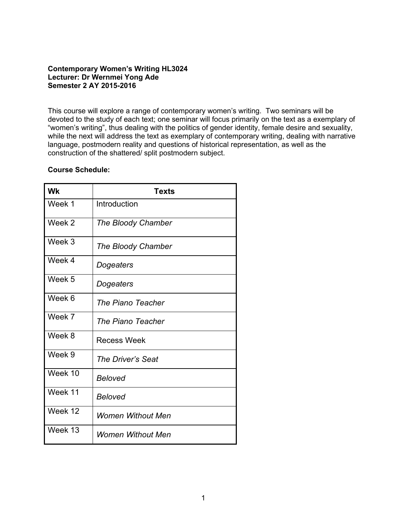# **Contemporary Women's Writing HL3024 Lecturer: Dr Wernmei Yong Ade Semester 2 AY 2015-2016**

This course will explore a range of contemporary women's writing. Two seminars will be devoted to the study of each text; one seminar will focus primarily on the text as a exemplary of "women's writing", thus dealing with the politics of gender identity, female desire and sexuality, while the next will address the text as exemplary of contemporary writing, dealing with narrative language, postmodern reality and questions of historical representation, as well as the construction of the shattered/ split postmodern subject.

### **Course Schedule:**

| <b>Wk</b> | <b>Texts</b>             |
|-----------|--------------------------|
| Week 1    | Introduction             |
| Week 2    | The Bloody Chamber       |
| Week 3    | The Bloody Chamber       |
| Week 4    | Dogeaters                |
| Week 5    | Dogeaters                |
| Week 6    | The Piano Teacher        |
| Week 7    | The Piano Teacher        |
| Week 8    | <b>Recess Week</b>       |
| Week 9    | The Driver's Seat        |
| Week 10   | <b>Beloved</b>           |
| Week 11   | <b>Beloved</b>           |
| Week 12   | <b>Women Without Men</b> |
| Week 13   | Women Without Men        |